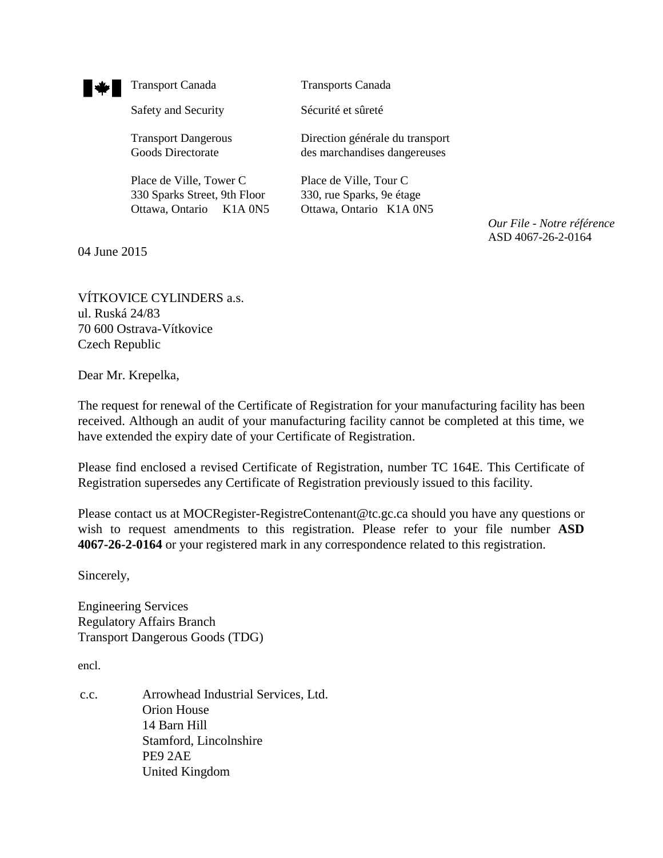

Safety and Security Sécurité et sûreté

Place de Ville, Tower C Place de Ville, Tour C 330 Sparks Street, 9th Floor 330, rue Sparks, 9e étage Ottawa, Ontario K1A 0N5 Ottawa, Ontario K1A 0N5

Transport Canada Transports Canada

Transport Dangerous Direction générale du transport Goods Directorate des marchandises dangereuses

*Our File - Notre référence* ASD 4067-26-2-0164

04 June 2015

VÍTKOVICE CYLINDERS a.s. ul. Ruská 24/83 70 600 Ostrava-Vítkovice Czech Republic

Dear Mr. Krepelka,

The request for renewal of the Certificate of Registration for your manufacturing facility has been received. Although an audit of your manufacturing facility cannot be completed at this time, we have extended the expiry date of your Certificate of Registration.

Please find enclosed a revised Certificate of Registration, number TC 164E. This Certificate of Registration supersedes any Certificate of Registration previously issued to this facility.

Please contact us at MOCRegister-RegistreContenant@tc.gc.ca should you have any questions or wish to request amendments to this registration. Please refer to your file number **ASD 4067-26-2-0164** or your registered mark in any correspondence related to this registration.

Sincerely,

Engineering Services Regulatory Affairs Branch Transport Dangerous Goods (TDG)

encl.

c.c. Arrowhead Industrial Services, Ltd. Orion House 14 Barn Hill Stamford, Lincolnshire PE9 2AE United Kingdom